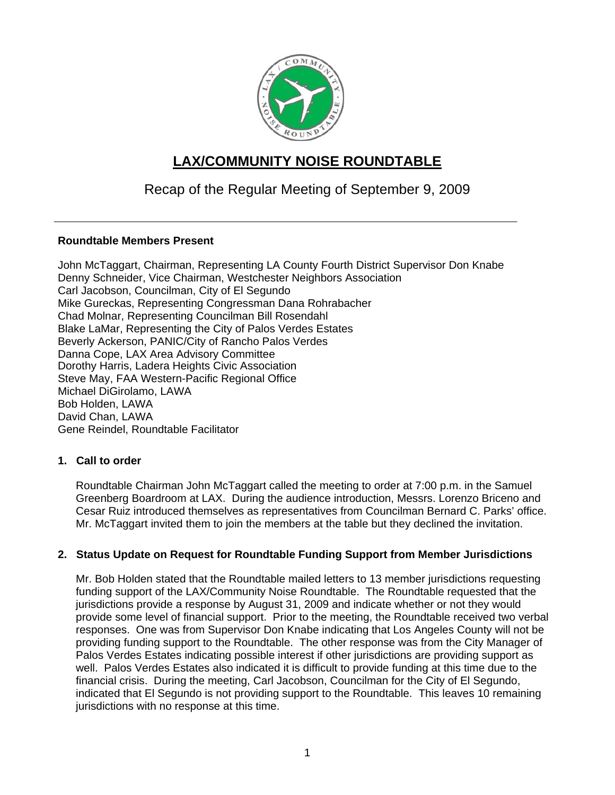

# **LAX/COMMUNITY NOISE ROUNDTABLE**

## Recap of the Regular Meeting of September 9, 2009

### **Roundtable Members Present**

John McTaggart, Chairman, Representing LA County Fourth District Supervisor Don Knabe Denny Schneider, Vice Chairman, Westchester Neighbors Association Carl Jacobson, Councilman, City of El Segundo Mike Gureckas, Representing Congressman Dana Rohrabacher Chad Molnar, Representing Councilman Bill Rosendahl Blake LaMar, Representing the City of Palos Verdes Estates Beverly Ackerson, PANIC/City of Rancho Palos Verdes Danna Cope, LAX Area Advisory Committee Dorothy Harris, Ladera Heights Civic Association Steve May, FAA Western-Pacific Regional Office Michael DiGirolamo, LAWA Bob Holden, LAWA David Chan, LAWA Gene Reindel, Roundtable Facilitator

## **1. Call to order**

Roundtable Chairman John McTaggart called the meeting to order at 7:00 p.m. in the Samuel Greenberg Boardroom at LAX. During the audience introduction, Messrs. Lorenzo Briceno and Cesar Ruiz introduced themselves as representatives from Councilman Bernard C. Parks' office. Mr. McTaggart invited them to join the members at the table but they declined the invitation.

### **2. Status Update on Request for Roundtable Funding Support from Member Jurisdictions**

Mr. Bob Holden stated that the Roundtable mailed letters to 13 member jurisdictions requesting funding support of the LAX/Community Noise Roundtable. The Roundtable requested that the jurisdictions provide a response by August 31, 2009 and indicate whether or not they would provide some level of financial support. Prior to the meeting, the Roundtable received two verbal responses. One was from Supervisor Don Knabe indicating that Los Angeles County will not be providing funding support to the Roundtable. The other response was from the City Manager of Palos Verdes Estates indicating possible interest if other jurisdictions are providing support as well. Palos Verdes Estates also indicated it is difficult to provide funding at this time due to the financial crisis. During the meeting, Carl Jacobson, Councilman for the City of El Segundo, indicated that El Segundo is not providing support to the Roundtable. This leaves 10 remaining jurisdictions with no response at this time.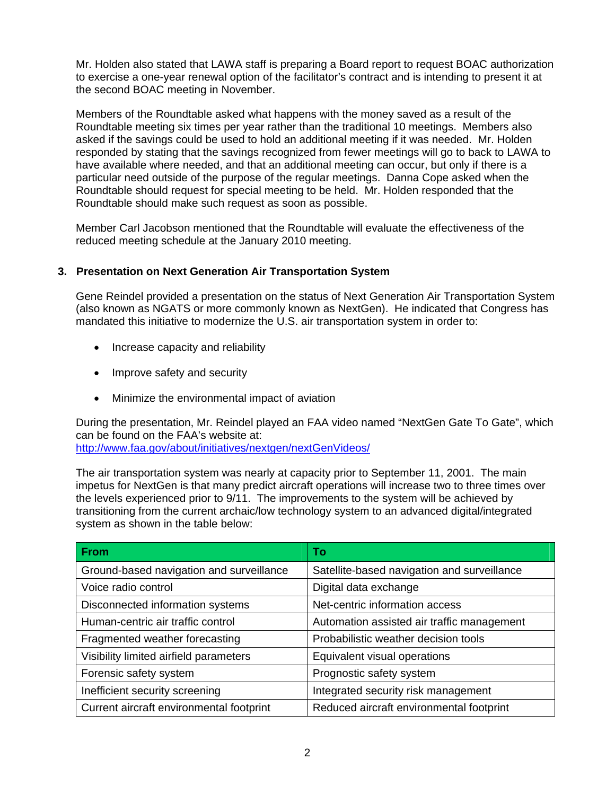Mr. Holden also stated that LAWA staff is preparing a Board report to request BOAC authorization to exercise a one-year renewal option of the facilitator's contract and is intending to present it at the second BOAC meeting in November.

Members of the Roundtable asked what happens with the money saved as a result of the Roundtable meeting six times per year rather than the traditional 10 meetings. Members also asked if the savings could be used to hold an additional meeting if it was needed. Mr. Holden responded by stating that the savings recognized from fewer meetings will go to back to LAWA to have available where needed, and that an additional meeting can occur, but only if there is a particular need outside of the purpose of the regular meetings. Danna Cope asked when the Roundtable should request for special meeting to be held. Mr. Holden responded that the Roundtable should make such request as soon as possible.

Member Carl Jacobson mentioned that the Roundtable will evaluate the effectiveness of the reduced meeting schedule at the January 2010 meeting.

### **3. Presentation on Next Generation Air Transportation System**

Gene Reindel provided a presentation on the status of Next Generation Air Transportation System (also known as NGATS or more commonly known as NextGen). He indicated that Congress has mandated this initiative to modernize the U.S. air transportation system in order to:

- Increase capacity and reliability
- Improve safety and security
- Minimize the environmental impact of aviation

During the presentation, Mr. Reindel played an FAA video named "NextGen Gate To Gate", which can be found on the FAA's website at: <http://www.faa.gov/about/initiatives/nextgen/nextGenVideos/>

The air transportation system was nearly at capacity prior to September 11, 2001. The main impetus for NextGen is that many predict aircraft operations will increase two to three times over the levels experienced prior to 9/11. The improvements to the system will be achieved by transitioning from the current archaic/low technology system to an advanced digital/integrated system as shown in the table below:

| <b>From</b>                              | Тo                                          |
|------------------------------------------|---------------------------------------------|
| Ground-based navigation and surveillance | Satellite-based navigation and surveillance |
| Voice radio control                      | Digital data exchange                       |
| Disconnected information systems         | Net-centric information access              |
| Human-centric air traffic control        | Automation assisted air traffic management  |
| Fragmented weather forecasting           | Probabilistic weather decision tools        |
| Visibility limited airfield parameters   | Equivalent visual operations                |
| Forensic safety system                   | Prognostic safety system                    |
| Inefficient security screening           | Integrated security risk management         |
| Current aircraft environmental footprint | Reduced aircraft environmental footprint    |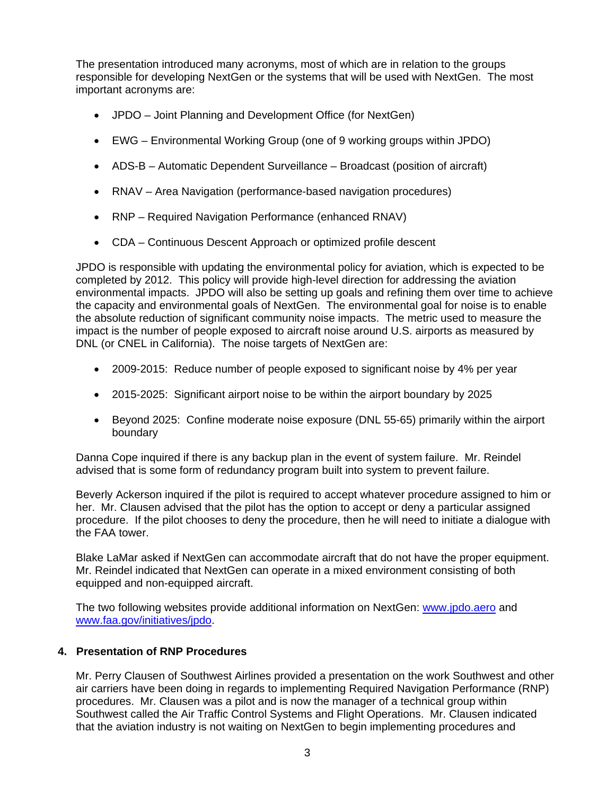The presentation introduced many acronyms, most of which are in relation to the groups responsible for developing NextGen or the systems that will be used with NextGen. The most important acronyms are:

- JPDO Joint Planning and Development Office (for NextGen)
- EWG Environmental Working Group (one of 9 working groups within JPDO)
- ADS-B Automatic Dependent Surveillance Broadcast (position of aircraft)
- RNAV Area Navigation (performance-based navigation procedures)
- RNP Required Navigation Performance (enhanced RNAV)
- CDA Continuous Descent Approach or optimized profile descent

JPDO is responsible with updating the environmental policy for aviation, which is expected to be completed by 2012. This policy will provide high-level direction for addressing the aviation environmental impacts. JPDO will also be setting up goals and refining them over time to achieve the capacity and environmental goals of NextGen. The environmental goal for noise is to enable the absolute reduction of significant community noise impacts. The metric used to measure the impact is the number of people exposed to aircraft noise around U.S. airports as measured by DNL (or CNEL in California). The noise targets of NextGen are:

- 2009-2015: Reduce number of people exposed to significant noise by 4% per year
- 2015-2025: Significant airport noise to be within the airport boundary by 2025
- Beyond 2025: Confine moderate noise exposure (DNL 55-65) primarily within the airport boundary

Danna Cope inquired if there is any backup plan in the event of system failure. Mr. Reindel advised that is some form of redundancy program built into system to prevent failure.

Beverly Ackerson inquired if the pilot is required to accept whatever procedure assigned to him or her. Mr. Clausen advised that the pilot has the option to accept or deny a particular assigned procedure. If the pilot chooses to deny the procedure, then he will need to initiate a dialogue with the FAA tower.

Blake LaMar asked if NextGen can accommodate aircraft that do not have the proper equipment. Mr. Reindel indicated that NextGen can operate in a mixed environment consisting of both equipped and non-equipped aircraft.

The two following websites provide additional information on NextGen: [www.jpdo.aero](http://www.jpdo.aero/) and [www.faa.gov/initiatives/jpdo.](http://www.faa.gov/initiatives/jpdo)

### **4. Presentation of RNP Procedures**

Mr. Perry Clausen of Southwest Airlines provided a presentation on the work Southwest and other air carriers have been doing in regards to implementing Required Navigation Performance (RNP) procedures. Mr. Clausen was a pilot and is now the manager of a technical group within Southwest called the Air Traffic Control Systems and Flight Operations. Mr. Clausen indicated that the aviation industry is not waiting on NextGen to begin implementing procedures and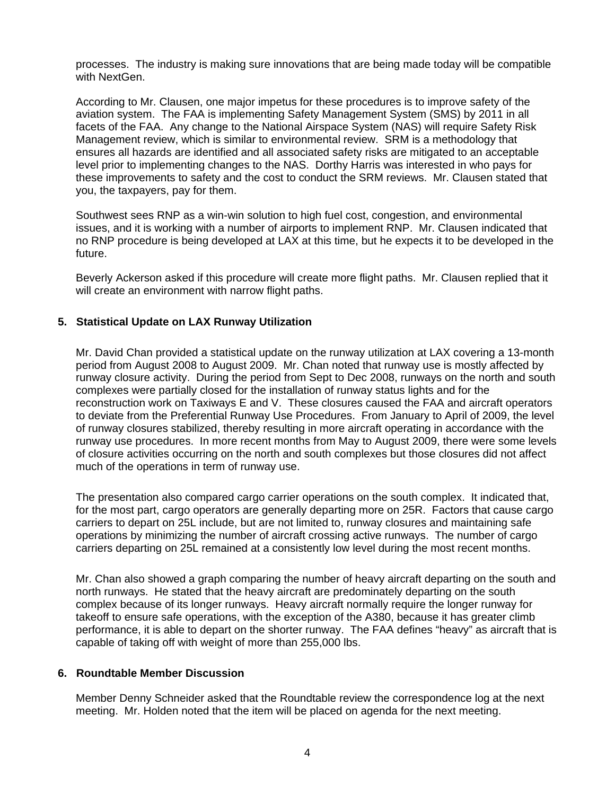processes. The industry is making sure innovations that are being made today will be compatible with NextGen.

According to Mr. Clausen, one major impetus for these procedures is to improve safety of the aviation system. The FAA is implementing Safety Management System (SMS) by 2011 in all facets of the FAA. Any change to the National Airspace System (NAS) will require Safety Risk Management review, which is similar to environmental review. SRM is a methodology that ensures all hazards are identified and all associated safety risks are mitigated to an acceptable level prior to implementing changes to the NAS. Dorthy Harris was interested in who pays for these improvements to safety and the cost to conduct the SRM reviews. Mr. Clausen stated that you, the taxpayers, pay for them.

Southwest sees RNP as a win-win solution to high fuel cost, congestion, and environmental issues, and it is working with a number of airports to implement RNP. Mr. Clausen indicated that no RNP procedure is being developed at LAX at this time, but he expects it to be developed in the future.

Beverly Ackerson asked if this procedure will create more flight paths. Mr. Clausen replied that it will create an environment with narrow flight paths.

### **5. Statistical Update on LAX Runway Utilization**

Mr. David Chan provided a statistical update on the runway utilization at LAX covering a 13-month period from August 2008 to August 2009. Mr. Chan noted that runway use is mostly affected by runway closure activity. During the period from Sept to Dec 2008, runways on the north and south complexes were partially closed for the installation of runway status lights and for the reconstruction work on Taxiways E and V. These closures caused the FAA and aircraft operators to deviate from the Preferential Runway Use Procedures. From January to April of 2009, the level of runway closures stabilized, thereby resulting in more aircraft operating in accordance with the runway use procedures. In more recent months from May to August 2009, there were some levels of closure activities occurring on the north and south complexes but those closures did not affect much of the operations in term of runway use.

The presentation also compared cargo carrier operations on the south complex. It indicated that, for the most part, cargo operators are generally departing more on 25R. Factors that cause cargo carriers to depart on 25L include, but are not limited to, runway closures and maintaining safe operations by minimizing the number of aircraft crossing active runways. The number of cargo carriers departing on 25L remained at a consistently low level during the most recent months.

Mr. Chan also showed a graph comparing the number of heavy aircraft departing on the south and north runways. He stated that the heavy aircraft are predominately departing on the south complex because of its longer runways. Heavy aircraft normally require the longer runway for takeoff to ensure safe operations, with the exception of the A380, because it has greater climb performance, it is able to depart on the shorter runway. The FAA defines "heavy" as aircraft that is capable of taking off with weight of more than 255,000 lbs.

### **6. Roundtable Member Discussion**

Member Denny Schneider asked that the Roundtable review the correspondence log at the next meeting. Mr. Holden noted that the item will be placed on agenda for the next meeting.